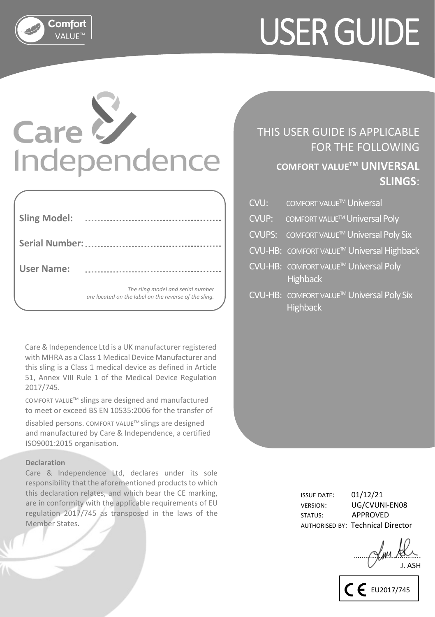

# Care & Independence

VALUE™ **Comfort**

| Sling Model: |                                                                                            |  |
|--------------|--------------------------------------------------------------------------------------------|--|
|              |                                                                                            |  |
| User Name:   |                                                                                            |  |
|              | The sling model and serial number<br>are located on the label on the reverse of the sling. |  |

Care & Independence Ltd is a UK manufacturer registered with MHRA as a Class 1 Medical Device Manufacturer and this sling is a Class 1 medical device as defined in Article 51, Annex VIII Rule 1 of the Medical Device Regulation 2017/745.

COMFORT VALUETM slings are designed and manufactured to meet or exceed BS EN 10535:2006 for the transfer of disabled persons. COMFORT VALUETM slings are designed and manufactured by Care & Independence, a certified ISO9001:2015 organisation.

### **Declaration**

Care & Independence Ltd, declares under its sole responsibility that the aforementioned products to which this declaration relates, and which bear the CE marking, are in conformity with the applicable requirements of EU regulation 2017/745 as transposed in the laws of the Member States.

# THIS USER GUIDE IS APPLICABLE FOR THE FOLLOWING **COMFORT VALUETM UNIVERSAL SLINGS**:

| CVU:          | COMFORT VALUE <sup>™</sup> Universal                         |
|---------------|--------------------------------------------------------------|
| <b>CVUP:</b>  | COMFORT VALUE™ Universal Poly                                |
| <b>CVUPS:</b> | COMFORT VALUE™ Universal Poly Six                            |
|               | CVU-HB: COMFORT VALUE™ Universal Highback                    |
|               | CVU-HB: COMFORT VALUE™ Universal Poly<br><b>Highback</b>     |
|               | CVU-HB: COMFORT VALUE™ Universal Poly Six<br><b>Highback</b> |

ISSUE DATE: 01/12/21 VERSION: UG/CVUNI-EN08 STATUS: APPROVED AUTHORISED BY: Technical Director

 $\sim$   $\sim$ J. ASH

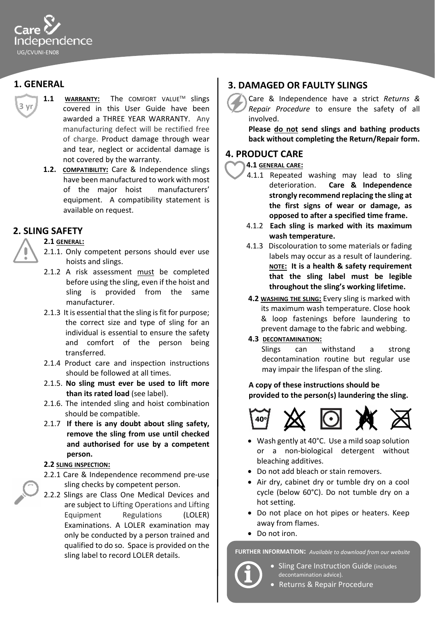

# **1. GENERAL**

- **1.1 WARRANTY:** The COMFORT VALUETM slings covered in this User Guide have been awarded a THREE YEAR WARRANTY. Any manufacturing defect will be rectified free of charge. Product damage through wear and tear, neglect or accidental damage is not covered by the warranty. **3 yr**
	- **1.2. COMPATIBILITY:** Care & Independence slings have been manufactured to work with most of the major hoist manufacturers' equipment. A compatibility statement is available on request.

# **2. SLING SAFETY**

### **2.1 GENERAL:**

- 2.1.1. Only competent persons should ever use hoists and slings.
- 2.1.2 A risk assessment must be completed before using the sling, even if the hoist and sling is provided from the same manufacturer.
- 2.1.3 It is essential that the sling is fit for purpose; the correct size and type of sling for an individual is essential to ensure the safety and comfort of the person being transferred.
- 2.1.4 Product care and inspection instructions should be followed at all times.
- 2.1.5. **No sling must ever be used to lift more than its rated load** (see label).
- 2.1.6. The intended sling and hoist combination should be compatible.
- 2.1.7 **If there is any doubt about sling safety, remove the sling from use until checked and authorised for use by a competent person.**

### **2.2 SLING INSPECTION:**

- 2.2.1 Care & Independence recommend pre-use sling checks by competent person.
- 2.2.2 Slings are Class One Medical Devices and are subject to Lifting Operations and Lifting Equipment Regulations (LOLER) Examinations. A LOLER examination may only be conducted by a person trained and qualified to do so. Space is provided on the sling label to record LOLER details.

# **3. DAMAGED OR FAULTY SLINGS**

Care & Independence have a strict *Returns & Repair Procedure* to ensure the safety of all involved.

**Please do not send slings and bathing products back without completing the Return/Repair form.**

# **4. PRODUCT CARE**

### **4.1 GENERAL CARE:**

- 4.1.1 Repeated washing may lead to sling deterioration. **Care & Independence strongly recommend replacing the sling at the first signs of wear or damage, as opposed to after a specified time frame.**
- 4.1.2 **Each sling is marked with its maximum wash temperature.**
- 4.1.3 Discolouration to some materials or fading labels may occur as a result of laundering. **NOTE: It is a health & safety requirement that the sling label must be legible throughout the sling's working lifetime.**
- **4.2 WASHING THE SLING:** Every sling is marked with its maximum wash temperature. Close hook & loop fastenings before laundering to prevent damage to the fabric and webbing.

### **4.3 DECONTAMINATION:**

Slings can withstand a strong decontamination routine but regular use may impair the lifespan of the sling.

# **A copy of these instructions should be provided to the person(s) laundering the sling.**



- · Wash gently at 40°C. Use a mild soap solution or a non-biological detergent without bleaching additives.
- · Do not add bleach or stain removers.
- · Air dry, cabinet dry or tumble dry on a cool cycle (below 60°C). Do not tumble dry on a hot setting.
- · Do not place on hot pipes or heaters. Keep away from flames.
- · Do not iron.

**FURTHER INFORMATION:** *Available to download from our website*



- · Sling Care Instruction Guide (includes <del>.</del><br>ntamination advice)
- Returns & Repair Procedure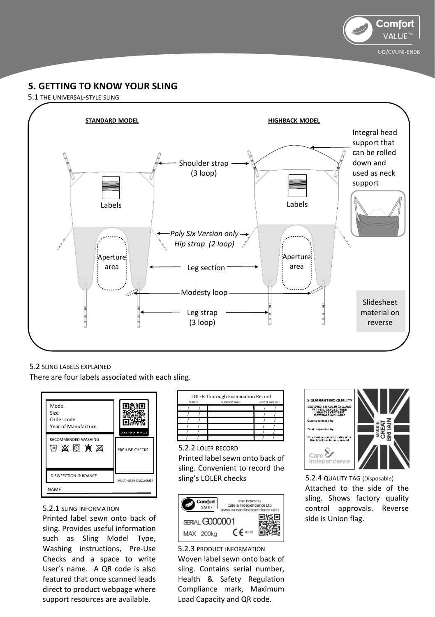

# **5. GETTING TO KNOW YOUR SLING**

5.1 THE UNIVERSAL-STYLE SLING



### 5.2 SLING LABELS EXPLAINED

There are four labels associated with each sling.



### 5.2.1 SLING INFORMATION

Printed label sewn onto back of sling. Provides useful information such as Sling Model Type, Washing instructions, Pre-Use Checks and a space to write User's name. A QR code is also featured that once scanned leads direct to product webpage where support resources are available.

| <b>LOLER Thorough Examination Record</b> |                      |                  |  |
|------------------------------------------|----------------------|------------------|--|
| TE DATE                                  | <b>DOMINDES NAME</b> | NEXT TE DATE DUE |  |
|                                          |                      |                  |  |
|                                          |                      |                  |  |
|                                          |                      |                  |  |
|                                          |                      |                  |  |
|                                          |                      |                  |  |
|                                          |                      |                  |  |

### 5.2.2 LOLER RECORD

Printed label sewn onto back of sling. Convenient to record the sling's LOLER checks



5.2.3 PRODUCT INFORMATION Woven label sewn onto back of sling. Contains serial number, Health & Safety Regulation Compliance mark, Maximum Load Capacity and QR code.



5.2.4 QUALITY TAG (Disposable) Attached to the side of the sling. Shows factory quality control approvals. Reverse side is Union flag.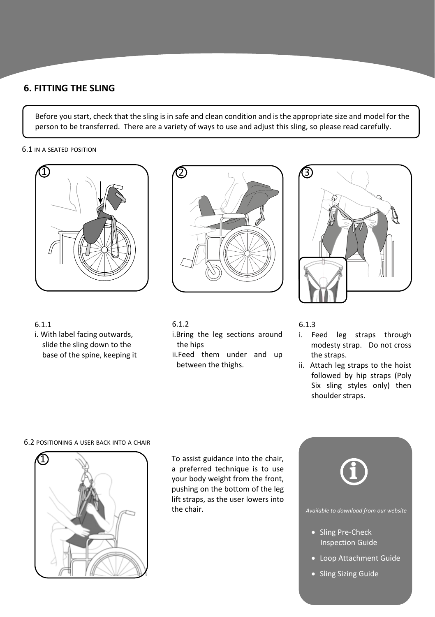# **6. FITTING THE SLING**

Before you start, check that the sling is in safe and clean condition and is the appropriate size and model for the person to be transferred. There are a variety of ways to use and adjust this sling, so please read carefully.

### 6.1 IN A SEATED POSITION



# 6.1.1

i. With label facing outwards, slide the sling down to the base of the spine, keeping it





- i.Bring the leg sections around the hips
- ii.Feed them under and up between the thighs.



### 6.1.3

- i. Feed leg straps through modesty strap. Do not cross the straps.
- ii. Attach leg straps to the hoist followed by hip straps (Poly Six sling styles only) then shoulder straps.

### 6.2 POSITIONING A USER BACK INTO A CHAIR



To assist guidance into the chair, a preferred technique is to use your body weight from the front, pushing on the bottom of the leg lift straps, as the user lowers into the chair.



· Sling Sizing Guide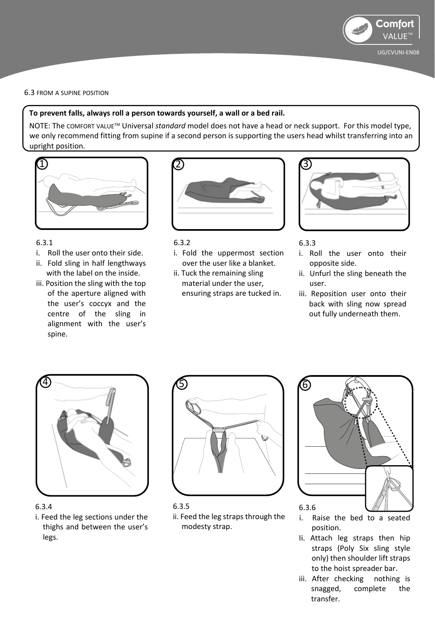

### 6.3 FROM A SUPINE POSITION

### **To prevent falls, always roll a person towards yourself, a wall or a bed rail.**

NOTE: The COMFORT VALUETM Universal *standard* model does not have a head or neck support. For this model type, we only recommend fitting from supine if a second person is supporting the users head whilst transferring into an upright position.



### 6.3.1

- i. Roll the user onto their side.
- ii. Fold sling in half lengthways with the label on the inside.
- iii. Position the sling with the top of the aperture aligned with the user's coccyx and the centre of the sling in alignment with the user's spine.



### 6.3.2

- i. Fold the uppermost section over the user like a blanket.
- ii. Tuck the remaining sling material under the user, ensuring straps are tucked in.



### 6.3.3

- i. Roll the user onto their opposite side.
- ii. Unfurl the sling beneath the user.
- iii. Reposition user onto their back with sling now spread out fully underneath them.



### 6.3.4

i. Feed the leg sections under the thighs and between the user's legs.



### 6.3.5

ii. Feed the leg straps through the modesty strap.



- i. Raise the bed to a seated position.
- Ii. Attach leg straps then hip straps (Poly Six sling style only) then shoulder lift straps to the hoist spreader bar.
- iii. After checking nothing is snagged, complete the transfer.